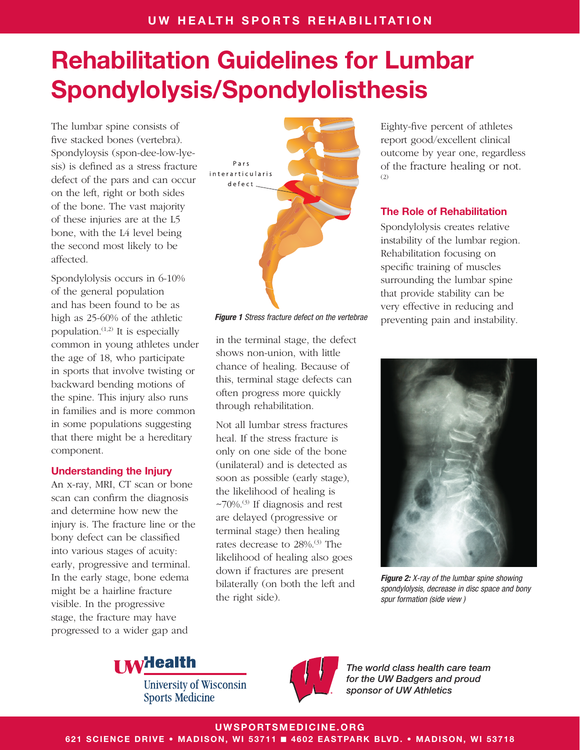The lumbar spine consists of five stacked bones (vertebra). Spondyloysis (spon-dee-low-lyesis) is defined as a stress fracture defect of the pars and can occur on the left, right or both sides of the bone. The vast majority of these injuries are at the L5 bone, with the L4 level being the second most likely to be affected.

Spondylolysis occurs in 6-10% of the general population and has been found to be as high as 25-60% of the athletic population. $(1,2)$  It is especially common in young athletes under the age of 18, who participate in sports that involve twisting or backward bending motions of the spine. This injury also runs in families and is more common in some populations suggesting that there might be a hereditary component.

#### Understanding the Injury

An x-ray, MRI, CT scan or bone scan can confirm the diagnosis and determine how new the injury is. The fracture line or the bony defect can be classified into various stages of acuity: early, progressive and terminal. In the early stage, bone edema might be a hairline fracture visible. In the progressive stage, the fracture may have progressed to a wider gap and



in the terminal stage, the defect shows non-union, with little chance of healing. Because of this, terminal stage defects can often progress more quickly through rehabilitation.

Not all lumbar stress fractures heal. If the stress fracture is only on one side of the bone (unilateral) and is detected as soon as possible (early stage), the likelihood of healing is  $\approx$ 70%.<sup>(3)</sup> If diagnosis and rest are delayed (progressive or terminal stage) then healing rates decrease to 28%.<sup>(3)</sup> The likelihood of healing also goes down if fractures are present bilaterally (on both the left and the right side).

Eighty-five percent of athletes report good/excellent clinical outcome by year one, regardless of the fracture healing or not.  $(2)$ 

## The Role of Rehabilitation

Spondylolysis creates relative instability of the lumbar region. Rehabilitation focusing on specific training of muscles surrounding the lumbar spine that provide stability can be very effective in reducing and **Figure 1** Stress fracture defect on the vertebrae preventing pain and instability.



*Figure 2: X-ray of the lumbar spine showing spondylolysis, decrease in disc space and bony spur formation (side view )* 



**University of Wisconsin Sports Medicine** 



*The world class health care team for the UW Badgers and proud sponsor of UW Athletics*

UWSPORTSMEDICINE.ORG

621 SCIENCE DRIVE • MADISON, WI 53711 ■ 4602 EASTPARK BLVD. • MADISON, WI 53718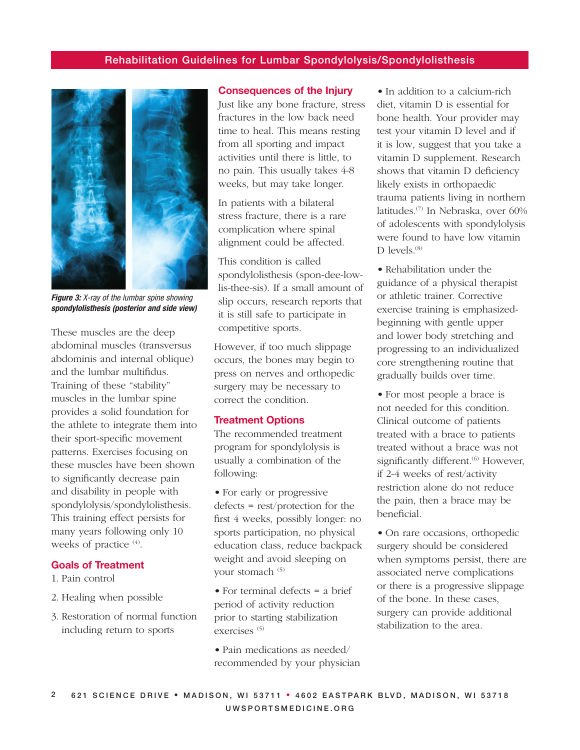

*Figure 3: X-ray of the lumbar spine showing spondylolisthesis (posterior and side view)*

These muscles are the deep abdominal muscles (transversus abdominis and internal oblique) and the lumbar multifidus. Training of these "stability" muscles in the lumbar spine provides a solid foundation for the athlete to integrate them into their sport-specific movement patterns. Exercises focusing on these muscles have been shown to significantly decrease pain and disability in people with spondylolysis/spondylolisthesis. This training effect persists for many years following only 10 weeks of practice <sup>(4)</sup>.

#### Goals of Treatment

- 1. Pain control
- 2. Healing when possible
- 3. Restoration of normal function including return to sports

#### Consequences of the Injury

Just like any bone fracture, stress fractures in the low back need time to heal. This means resting from all sporting and impact activities until there is little, to no pain. This usually takes 4-8 weeks, but may take longer.

In patients with a bilateral stress fracture, there is a rare complication where spinal alignment could be affected.

This condition is called spondylolisthesis (spon-dee-lowlis-thee-sis). If a small amount of slip occurs, research reports that it is still safe to participate in competitive sports.

However, if too much slippage occurs, the bones may begin to press on nerves and orthopedic surgery may be necessary to correct the condition.

#### Treatment Options

The recommended treatment program for spondylolysis is usually a combination of the following:

• For early or progressive defects = rest/protection for the first 4 weeks, possibly longer: no sports participation, no physical education class, reduce backpack weight and avoid sleeping on your stomach <sup>(5)</sup>

• For terminal defects = a brief period of activity reduction prior to starting stabilization exercises (5)

• Pain medications as needed/ recommended by your physician

• In addition to a calcium-rich diet, vitamin D is essential for bone health. Your provider may test your vitamin D level and if it is low, suggest that you take a vitamin D supplement. Research shows that vitamin D deficiency likely exists in orthopaedic trauma patients living in northern latitudes.(7) In Nebraska, over 60% of adolescents with spondylolysis were found to have low vitamin D levels.<sup>(8)</sup>

• Rehabilitation under the guidance of a physical therapist or athletic trainer. Corrective exercise training is emphasizedbeginning with gentle upper and lower body stretching and progressing to an individualized core strengthening routine that gradually builds over time.

• For most people a brace is not needed for this condition. Clinical outcome of patients treated with a brace to patients treated without a brace was not significantly different.<sup>(6)</sup> However, if 2-4 weeks of rest/activity restriction alone do not reduce the pain, then a brace may be beneficial.

• On rare occasions, orthopedic surgery should be considered when symptoms persist, there are associated nerve complications or there is a progressive slippage of the bone. In these cases, surgery can provide additional stabilization to the area.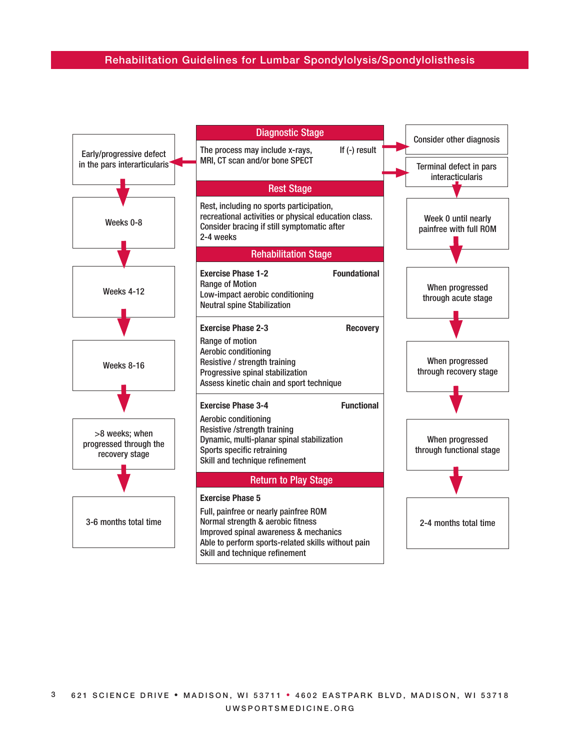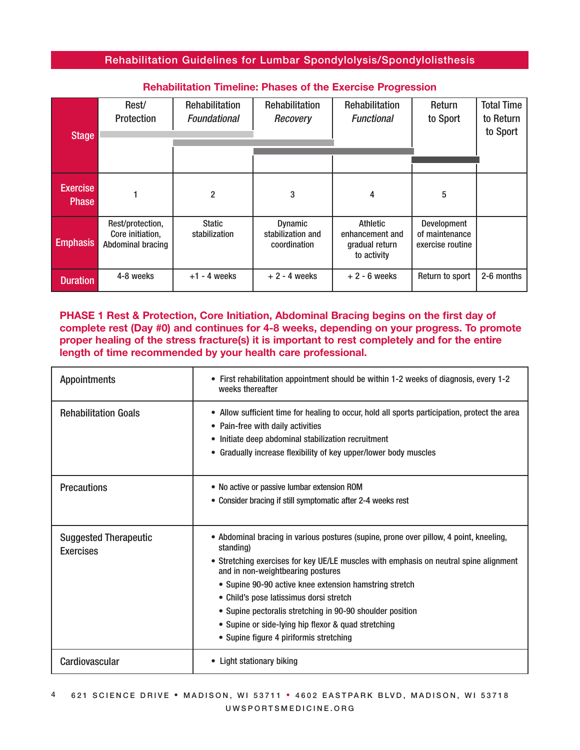| <b>Stage</b>                    | Rest/<br>Protection                                              | Rehabilitation<br><b>Foundational</b> | <b>Rehabilitation</b><br>Recovery                   | Rehabilitation<br><b>Functional</b>                          | Return<br>to Sport                                | <b>Total Time</b><br>to Return<br>to Sport |
|---------------------------------|------------------------------------------------------------------|---------------------------------------|-----------------------------------------------------|--------------------------------------------------------------|---------------------------------------------------|--------------------------------------------|
|                                 |                                                                  |                                       |                                                     |                                                              |                                                   |                                            |
| <b>Exercise</b><br><b>Phase</b> |                                                                  | $\overline{2}$                        | 3                                                   | 4                                                            | 5                                                 |                                            |
| <b>Emphasis</b>                 | Rest/protection,<br>Core initiation,<br><b>Abdominal bracing</b> | <b>Static</b><br>stabilization        | <b>Dynamic</b><br>stabilization and<br>coordination | Athletic<br>enhancement and<br>gradual return<br>to activity | Development<br>of maintenance<br>exercise routine |                                            |
| <b>Duration</b>                 | 4-8 weeks                                                        | $+1 - 4$ weeks                        | $+2 - 4$ weeks                                      | $+2 - 6$ weeks                                               | Return to sport                                   | 2-6 months                                 |

## Rehabilitation Timeline: Phases of the Exercise Progression

PHASE 1 Rest & Protection, Core Initiation, Abdominal Bracing begins on the first day of complete rest (Day #0) and continues for 4-8 weeks, depending on your progress. To promote proper healing of the stress fracture(s) it is important to rest completely and for the entire length of time recommended by your health care professional.

| <b>Appointments</b>                              | • First rehabilitation appointment should be within 1-2 weeks of diagnosis, every 1-2<br>weeks thereafter                                                                                                                                                                                                                                                                                                                                                                                             |  |  |
|--------------------------------------------------|-------------------------------------------------------------------------------------------------------------------------------------------------------------------------------------------------------------------------------------------------------------------------------------------------------------------------------------------------------------------------------------------------------------------------------------------------------------------------------------------------------|--|--|
| <b>Rehabilitation Goals</b>                      | • Allow sufficient time for healing to occur, hold all sports participation, protect the area<br>• Pain-free with daily activities<br>• Initiate deep abdominal stabilization recruitment<br>Gradually increase flexibility of key upper/lower body muscles<br>$\bullet$                                                                                                                                                                                                                              |  |  |
| <b>Precautions</b>                               | • No active or passive lumbar extension ROM<br>• Consider bracing if still symptomatic after 2-4 weeks rest                                                                                                                                                                                                                                                                                                                                                                                           |  |  |
| <b>Suggested Therapeutic</b><br><b>Exercises</b> | • Abdominal bracing in various postures (supine, prone over pillow, 4 point, kneeling,<br>standing)<br>• Stretching exercises for key UE/LE muscles with emphasis on neutral spine alignment<br>and in non-weightbearing postures<br>• Supine 90-90 active knee extension hamstring stretch<br>• Child's pose latissimus dorsi stretch<br>• Supine pectoralis stretching in 90-90 shoulder position<br>• Supine or side-lying hip flexor & quad stretching<br>• Supine figure 4 piriformis stretching |  |  |
| Cardiovascular                                   | • Light stationary biking                                                                                                                                                                                                                                                                                                                                                                                                                                                                             |  |  |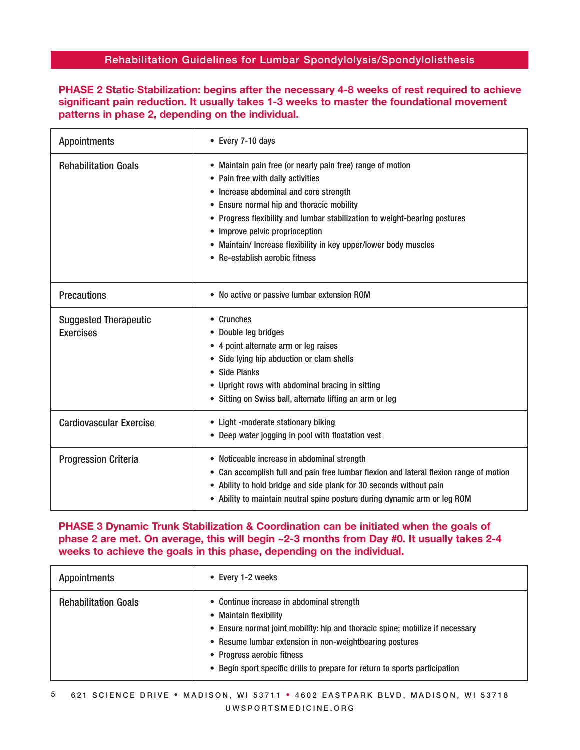## PHASE 2 Static Stabilization: begins after the necessary 4-8 weeks of rest required to achieve significant pain reduction. It usually takes 1-3 weeks to master the foundational movement patterns in phase 2, depending on the individual.

| <b>Appointments</b>                              | • Every 7-10 days                                                                                                                                                                                                                                                                                                                                                                                             |  |  |
|--------------------------------------------------|---------------------------------------------------------------------------------------------------------------------------------------------------------------------------------------------------------------------------------------------------------------------------------------------------------------------------------------------------------------------------------------------------------------|--|--|
| <b>Rehabilitation Goals</b>                      | • Maintain pain free (or nearly pain free) range of motion<br>• Pain free with daily activities<br>• Increase abdominal and core strength<br>• Ensure normal hip and thoracic mobility<br>• Progress flexibility and lumbar stabilization to weight-bearing postures<br>• Improve pelvic proprioception<br>• Maintain/ Increase flexibility in key upper/lower body muscles<br>• Re-establish aerobic fitness |  |  |
| <b>Precautions</b>                               | • No active or passive lumbar extension ROM                                                                                                                                                                                                                                                                                                                                                                   |  |  |
| <b>Suggested Therapeutic</b><br><b>Exercises</b> | • Crunches<br>• Double leg bridges<br>• 4 point alternate arm or leg raises<br>Side lying hip abduction or clam shells<br>$\bullet$<br><b>Side Planks</b><br>• Upright rows with abdominal bracing in sitting<br>• Sitting on Swiss ball, alternate lifting an arm or leg                                                                                                                                     |  |  |
| <b>Cardiovascular Exercise</b>                   | • Light -moderate stationary biking<br>• Deep water jogging in pool with floatation vest                                                                                                                                                                                                                                                                                                                      |  |  |
| <b>Progression Criteria</b>                      | • Noticeable increase in abdominal strength<br>• Can accomplish full and pain free lumbar flexion and lateral flexion range of motion<br>Ability to hold bridge and side plank for 30 seconds without pain<br>$\bullet$<br>• Ability to maintain neutral spine posture during dynamic arm or leg ROM                                                                                                          |  |  |

## PHASE 3 Dynamic Trunk Stabilization & Coordination can be initiated when the goals of phase 2 are met. On average, this will begin ~2-3 months from Day #0. It usually takes 2-4 weeks to achieve the goals in this phase, depending on the individual.

| <b>Appointments</b>         | • Every 1-2 weeks                                                                                                                                                                                                                                                                                                            |
|-----------------------------|------------------------------------------------------------------------------------------------------------------------------------------------------------------------------------------------------------------------------------------------------------------------------------------------------------------------------|
| <b>Rehabilitation Goals</b> | • Continue increase in abdominal strength<br>• Maintain flexibility<br>• Ensure normal joint mobility: hip and thoracic spine; mobilize if necessary<br>• Resume lumbar extension in non-weightbearing postures<br>• Progress aerobic fitness<br>• Begin sport specific drills to prepare for return to sports participation |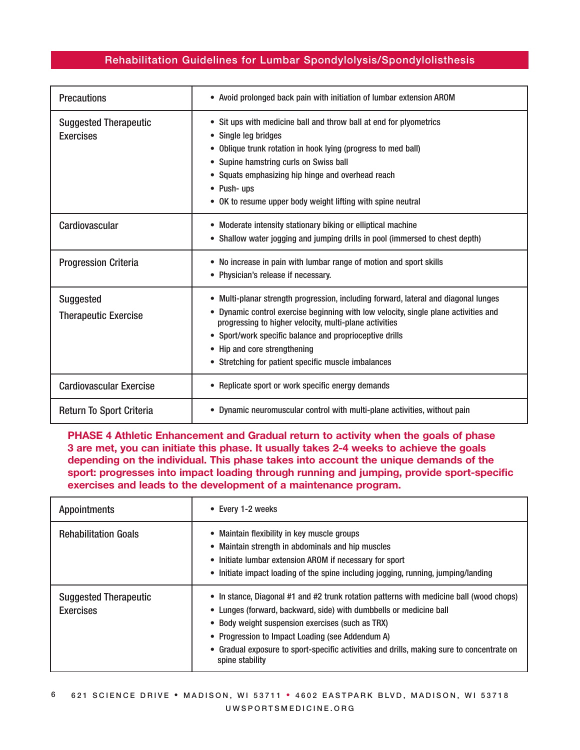| <b>Precautions</b>                               | • Avoid prolonged back pain with initiation of lumbar extension AROM                                                                                                                                                                                                                                                                                                                   |  |  |
|--------------------------------------------------|----------------------------------------------------------------------------------------------------------------------------------------------------------------------------------------------------------------------------------------------------------------------------------------------------------------------------------------------------------------------------------------|--|--|
| <b>Suggested Therapeutic</b><br><b>Exercises</b> | • Sit ups with medicine ball and throw ball at end for plyometrics<br>• Single leg bridges<br>• Oblique trunk rotation in hook lying (progress to med ball)<br>• Supine hamstring curls on Swiss ball<br>• Squats emphasizing hip hinge and overhead reach<br>• Push- ups<br>• OK to resume upper body weight lifting with spine neutral                                               |  |  |
| Cardiovascular                                   | • Moderate intensity stationary biking or elliptical machine<br>• Shallow water jogging and jumping drills in pool (immersed to chest depth)                                                                                                                                                                                                                                           |  |  |
| <b>Progression Criteria</b>                      | • No increase in pain with lumbar range of motion and sport skills<br>• Physician's release if necessary.                                                                                                                                                                                                                                                                              |  |  |
| <b>Suggested</b><br><b>Therapeutic Exercise</b>  | • Multi-planar strength progression, including forward, lateral and diagonal lunges<br>• Dynamic control exercise beginning with low velocity, single plane activities and<br>progressing to higher velocity, multi-plane activities<br>• Sport/work specific balance and proprioceptive drills<br>• Hip and core strengthening<br>• Stretching for patient specific muscle imbalances |  |  |
| <b>Cardiovascular Exercise</b>                   | • Replicate sport or work specific energy demands                                                                                                                                                                                                                                                                                                                                      |  |  |
| Return To Sport Criteria                         | • Dynamic neuromuscular control with multi-plane activities, without pain                                                                                                                                                                                                                                                                                                              |  |  |

## PHASE 4 Athletic Enhancement and Gradual return to activity when the goals of phase 3 are met, you can initiate this phase. It usually takes 2-4 weeks to achieve the goals depending on the individual. This phase takes into account the unique demands of the sport: progresses into impact loading through running and jumping, provide sport-specific exercises and leads to the development of a maintenance program.

| <b>Appointments</b>                              | • Every 1-2 weeks                                                                                                                                                                                                                                                                                                                                                                     |  |  |
|--------------------------------------------------|---------------------------------------------------------------------------------------------------------------------------------------------------------------------------------------------------------------------------------------------------------------------------------------------------------------------------------------------------------------------------------------|--|--|
| <b>Rehabilitation Goals</b>                      | • Maintain flexibility in key muscle groups<br>• Maintain strength in abdominals and hip muscles<br>• Initiate lumbar extension AROM if necessary for sport<br>• Initiate impact loading of the spine including jogging, running, jumping/landing                                                                                                                                     |  |  |
| <b>Suggested Therapeutic</b><br><b>Exercises</b> | • In stance, Diagonal #1 and #2 trunk rotation patterns with medicine ball (wood chops)<br>• Lunges (forward, backward, side) with dumbbells or medicine ball<br>• Body weight suspension exercises (such as TRX)<br>• Progression to Impact Loading (see Addendum A)<br>• Gradual exposure to sport-specific activities and drills, making sure to concentrate on<br>spine stability |  |  |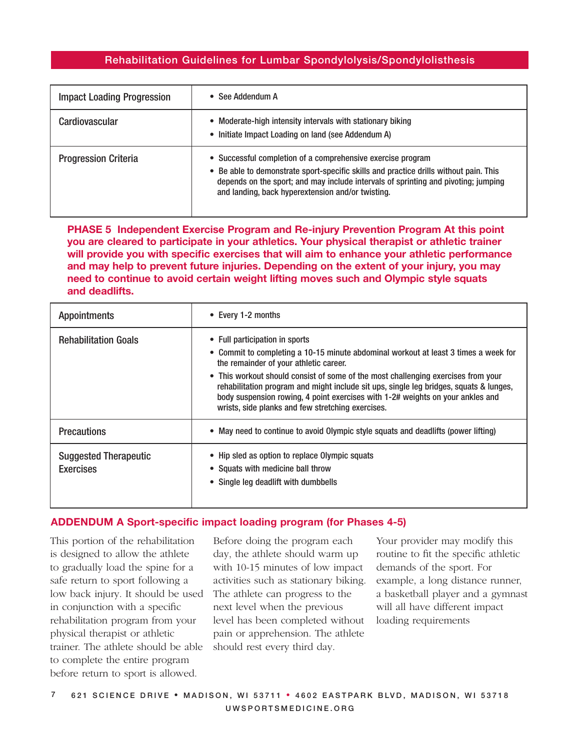| <b>Impact Loading Progression</b> | See Addendum A<br>$\bullet$                                                                                                                                                                                                                                                                     |
|-----------------------------------|-------------------------------------------------------------------------------------------------------------------------------------------------------------------------------------------------------------------------------------------------------------------------------------------------|
| Cardiovascular                    | • Moderate-high intensity intervals with stationary biking<br>• Initiate Impact Loading on land (see Addendum A)                                                                                                                                                                                |
| <b>Progression Criteria</b>       | • Successful completion of a comprehensive exercise program<br>• Be able to demonstrate sport-specific skills and practice drills without pain. This<br>depends on the sport; and may include intervals of sprinting and pivoting; jumping<br>and landing, back hyperextension and/or twisting. |

PHASE 5 Independent Exercise Program and Re-injury Prevention Program At this point you are cleared to participate in your athletics. Your physical therapist or athletic trainer will provide you with specific exercises that will aim to enhance your athletic performance and may help to prevent future injuries. Depending on the extent of your injury, you may need to continue to avoid certain weight lifting moves such and Olympic style squats and deadlifts.

| <b>Appointments</b>                              | • Every 1-2 months                                                                                                                                                                                                                                                                                                                                                                                                                                                                    |  |  |
|--------------------------------------------------|---------------------------------------------------------------------------------------------------------------------------------------------------------------------------------------------------------------------------------------------------------------------------------------------------------------------------------------------------------------------------------------------------------------------------------------------------------------------------------------|--|--|
| <b>Rehabilitation Goals</b>                      | • Full participation in sports<br>• Commit to completing a 10-15 minute abdominal workout at least 3 times a week for<br>the remainder of your athletic career.<br>• This workout should consist of some of the most challenging exercises from your<br>rehabilitation program and might include sit ups, single leg bridges, squats & lunges,<br>body suspension rowing, 4 point exercises with 1-2# weights on your ankles and<br>wrists, side planks and few stretching exercises. |  |  |
| <b>Precautions</b>                               | • May need to continue to avoid Olympic style squats and deadlifts (power lifting)                                                                                                                                                                                                                                                                                                                                                                                                    |  |  |
| <b>Suggested Therapeutic</b><br><b>Exercises</b> | • Hip sled as option to replace Olympic squats<br>• Squats with medicine ball throw<br>• Single leg deadlift with dumbbells                                                                                                                                                                                                                                                                                                                                                           |  |  |

#### ADDENDUM A Sport-specific impact loading program (for Phases 4-5)

This portion of the rehabilitation is designed to allow the athlete to gradually load the spine for a safe return to sport following a low back injury. It should be used in conjunction with a specific rehabilitation program from your physical therapist or athletic trainer. The athlete should be able to complete the entire program before return to sport is allowed.

Before doing the program each day, the athlete should warm up with 10-15 minutes of low impact activities such as stationary biking. The athlete can progress to the next level when the previous level has been completed without pain or apprehension. The athlete should rest every third day.

Your provider may modify this routine to fit the specific athletic demands of the sport. For example, a long distance runner, a basketball player and a gymnast will all have different impact loading requirements